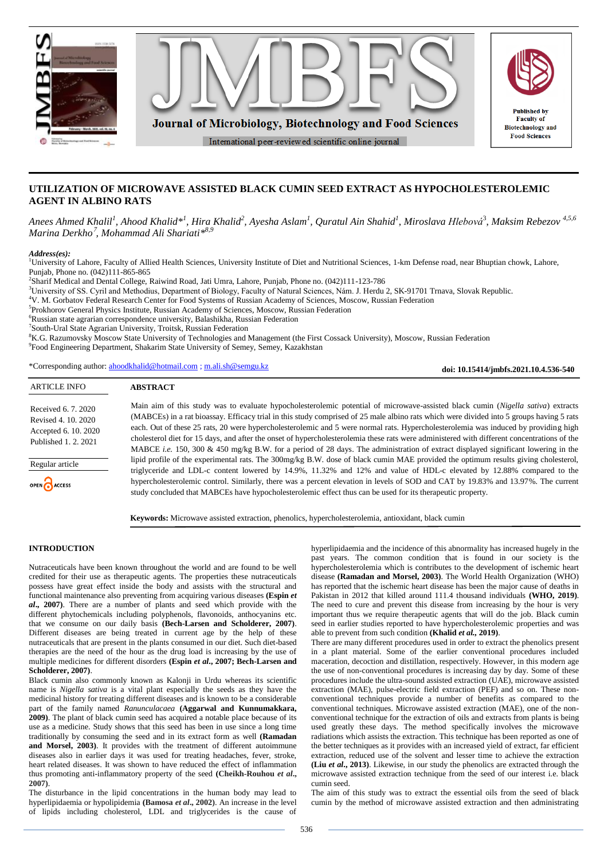

# **UTILIZATION OF MICROWAVE ASSISTED BLACK CUMIN SEED EXTRACT AS HYPOCHOLESTEROLEMIC AGENT IN ALBINO RATS**

Anees Ahmed Khalil<sup>l</sup>, Ahood Khalid\*<sup>1</sup>, Hira Khalid<sup>2</sup>, Ayesha Aslam<sup>1</sup>, Quratul Ain Shahid<sup>1</sup>, Miroslava Hlebová<sup>3</sup>, Maksim Rebezov <sup>4,5,6</sup> *Marina Derkho*<sup>7</sup> *, Mohammad Ali Shariati\* 8,9*

#### *Address(es):*

<sup>1</sup>University of Lahore, Faculty of Allied Health Sciences, University Institute of Diet and Nutritional Sciences, 1-km Defense road, near Bhuptian chowk, Lahore, Punjab, Phone no. (042)111-865-865

2 Sharif Medical and Dental College, Raiwind Road, Jati Umra, Lahore, Punjab, Phone no. (042)111-123-786

<sup>3</sup>University of SS. Cyril and Methodius, Department of Biology, Faculty of Natural Sciences, Nám. J. Herdu 2, SK-91701 Trnava, Slovak Republic.

<sup>4</sup>V. M. Gorbatov Federal Research Center for Food Systems of Russian Academy of Sciences, Moscow, Russian Federation

5 Prokhorov General Physics Institute, Russian Academy of Sciences, Moscow, Russian Federation

<sup>6</sup>Russian state agrarian correspondence university, Balashikha, Russian Federation

7 South-Ural State Agrarian University, Troitsk, Russian Federation

<sup>8</sup>K.G. Razumovsky Moscow State University of Technologies and Management (the First Cossack University), Moscow, Russian Federation

9 Food Engineering Department, Shakarim State University of Semey, Semey, Kazakhstan

\*Corresponding author: [ahoodkhalid@hotmail.com](mailto:ahoodkhalid@hotmail.com) [; m.ali.sh@semgu.kz](mailto:m.ali.sh@semgu.kz)

**doi: 10.15414/jmbfs.2021.10.4.536-540**

Main aim of this study was to evaluate hypocholesterolemic potential of microwave-assisted black cumin (*Nigella sativa*) extracts (MABCEs) in a rat bioassay. Efficacy trial in this study comprised of 25 male albino rats which were divided into 5 groups having 5 rats each. Out of these 25 rats, 20 were hypercholesterolemic and 5 were normal rats. Hypercholesterolemia was induced by providing high cholesterol diet for 15 days, and after the onset of hypercholesterolemia these rats were administered with different concentrations of the MABCE *i.e.* 150, 300 & 450 mg/kg B.W. for a period of 28 days. The administration of extract displayed significant lowering in the lipid profile of the experimental rats. The 300mg/kg B.W. dose of black cumin MAE provided the optimum results giving cholesterol, triglyceride and LDL-c content lowered by 14.9%, 11.32% and 12% and value of HDL-c elevated by 12.88% compared to the hypercholesterolemic control. Similarly, there was a percent elevation in levels of SOD and CAT by 19.83% and 13.97%. The current study concluded that MABCEs have hypocholesterolemic effect thus can be used for its therapeutic property. Received 6. 7. 2020 Revised 4. 10. 2020 Accepted 6. 10. 2020 Published 1. 2. 2021

**Keywords:** Microwave assisted extraction, phenolics, hypercholesterolemia, antioxidant, black cumin

# **INTRODUCTION**

Regular article

OPEN CACCESS

Nutraceuticals have been known throughout the world and are found to be well credited for their use as therapeutic agents. The properties these nutraceuticals possess have great effect inside the body and assists with the structural and functional maintenance also preventing from acquiring various diseases **(Espin** *et al***., 2007)**. There are a number of plants and seed which provide with the different phytochemicals including polyphenols, flavonoids, anthocyanins etc. that we consume on our daily basis **(Bech-Larsen and Scholderer, 2007)**. Different diseases are being treated in current age by the help of these nutraceuticals that are present in the plants consumed in our diet. Such diet-based therapies are the need of the hour as the drug load is increasing by the use of multiple medicines for different disorders **(Espin** *et al***., 2007; Bech-Larsen and Scholderer, 2007)**.

Black cumin also commonly known as Kalonji in Urdu whereas its scientific name is *Nigella sativa* is a vital plant especially the seeds as they have the medicinal history for treating different diseases and is known to be a considerable part of the family named *Ranunculacaea* **(Aggarwal and Kunnumakkara, 2009)**. The plant of black cumin seed has acquired a notable place because of its use as a medicine. Study shows that this seed has been in use since a long time traditionally by consuming the seed and in its extract form as well **(Ramadan and Morsel, 2003)**. It provides with the treatment of different autoimmune diseases also in earlier days it was used for treating headaches, fever, stroke, heart related diseases. It was shown to have reduced the effect of inflammation thus promoting anti-inflammatory property of the seed **(Cheikh-Rouhou** *et al***., 2007)**.

The disturbance in the lipid concentrations in the human body may lead to hyperlipidaemia or hypolipidemia **(Bamosa** *et al***., 2002)**. An increase in the level of lipids including cholesterol, LDL and triglycerides is the cause of hyperlipidaemia and the incidence of this abnormality has increased hugely in the past years. The common condition that is found in our society is the hypercholesterolemia which is contributes to the development of ischemic heart disease **(Ramadan and Morsel, 2003)**. The World Health Organization (WHO) has reported that the ischemic heart disease has been the major cause of deaths in Pakistan in 2012 that killed around 111.4 thousand individuals **(WHO, 2019)**. The need to cure and prevent this disease from increasing by the hour is very important thus we require therapeutic agents that will do the job. Black cumin seed in earlier studies reported to have hypercholesterolemic properties and was able to prevent from such condition **(Khalid** *et al.,* **2019)**.

There are many different procedures used in order to extract the phenolics present in a plant material. Some of the earlier conventional procedures included maceration, decoction and distillation, respectively. However, in this modern age the use of non-conventional procedures is increasing day by day. Some of these procedures include the ultra-sound assisted extraction (UAE), microwave assisted extraction (MAE), pulse-electric field extraction (PEF) and so on. These nonconventional techniques provide a number of benefits as compared to the conventional techniques. Microwave assisted extraction (MAE), one of the nonconventional technique for the extraction of oils and extracts from plants is being used greatly these days. The method specifically involves the microwave radiations which assists the extraction. This technique has been reported as one of the better techniques as it provides with an increased yield of extract, far efficient extraction, reduced use of the solvent and lesser time to achieve the extraction **(Liu** *et al***., 2013)**. Likewise, in our study the phenolics are extracted through the microwave assisted extraction technique from the seed of our interest i.e. black cumin seed.

The aim of this study was to extract the essential oils from the seed of black cumin by the method of microwave assisted extraction and then administrating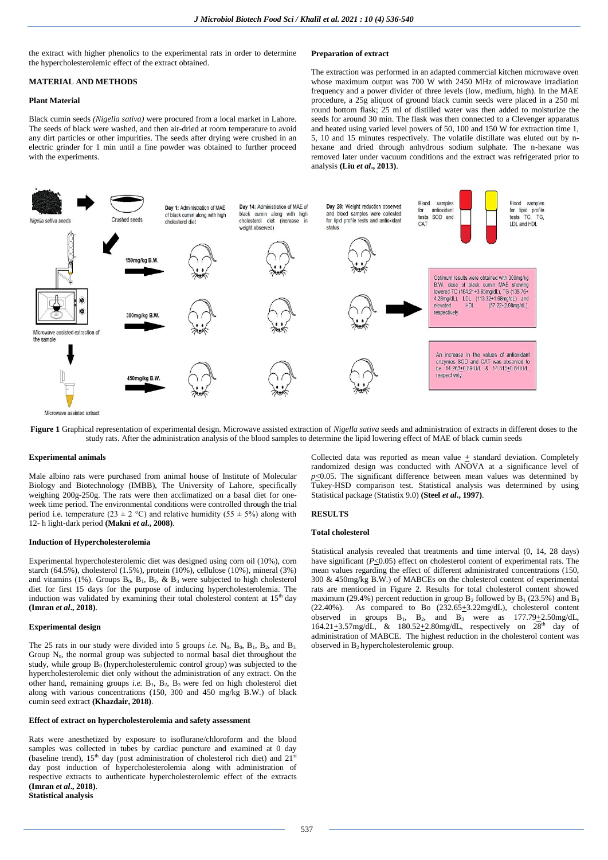the extract with higher phenolics to the experimental rats in order to determine the hypercholesterolemic effect of the extract obtained.

## **MATERIAL AND METHODS**

# **Plant Material**

Black cumin seeds *(Nigella sativa)* were procured from a local market in Lahore. The seeds of black were washed, and then air-dried at room temperature to avoid any dirt particles or other impurities. The seeds after drying were crushed in an electric grinder for 1 min until a fine powder was obtained to further proceed with the experiments.

**Preparation of extract**

The extraction was performed in an adapted commercial kitchen microwave oven whose maximum output was 700 W with 2450 MHz of microwave irradiation frequency and a power divider of three levels (low, medium, high). In the MAE procedure, a 25g aliquot of ground black cumin seeds were placed in a 250 ml round bottom flask; 25 ml of distilled water was then added to moisturize the seeds for around 30 min. The flask was then connected to a Clevenger apparatus and heated using varied level powers of 50, 100 and 150 W for extraction time 1, 5, 10 and 15 minutes respectively. The volatile distillate was eluted out by nhexane and dried through anhydrous sodium sulphate. The n-hexane was removed later under vacuum conditions and the extract was refrigerated prior to analysis **(Liu** *et al***., 2013)**.



**Figure 1** Graphical representation of experimental design. Microwave assisted extraction of *Nigella sativa* seeds and administration of extracts in different doses to the study rats. After the administration analysis of the blood samples to determine the lipid lowering effect of MAE of black cumin seeds

#### **Experimental animals**

Male albino rats were purchased from animal house of Institute of Molecular Biology and Biotechnology (IMBB), The University of Lahore, specifically weighing 200g-250g. The rats were then acclimatized on a basal diet for oneweek time period. The environmental conditions were controlled through the trial period i.e. temperature (23  $\pm$  2 °C) and relative humidity (55  $\pm$  5%) along with 12- h light-dark period **(Makni** *et al***., 2008)**.

### **Induction of Hypercholesterolemia**

Experimental hypercholesterolemic diet was designed using corn oil (10%), corn starch (64.5%), cholesterol (1.5%), protein (10%), cellulose (10%), mineral (3%) and vitamins (1%). Groups  $B_0$ ,  $B_1$ ,  $B_2$ , &  $B_3$  were subjected to high cholesterol diet for first 15 days for the purpose of inducing hypercholesterolemia. The induction was validated by examining their total cholesterol content at  $15<sup>th</sup>$  day **(Imran** *et al***., 2018)**.

#### **Experimental design**

The 25 rats in our study were divided into 5 groups *i.e.* N<sub>0</sub>, B<sub>0</sub>, B<sub>1</sub>, B<sub>2</sub>, and B<sub>3</sub>. Group  $N_0$ , the normal group was subjected to normal basal diet throughout the study, while group  $B_0$  (hypercholesterolemic control group) was subjected to the hypercholesterolemic diet only without the administration of any extract. On the other hand, remaining groups *i.e.* B<sub>1</sub>, B<sub>2</sub>, B<sub>3</sub> were fed on high cholesterol diet along with various concentrations (150, 300 and 450 mg/kg B.W.) of black cumin seed extract **(Khazdair, 2018)**.

### **Effect of extract on hypercholesterolemia and safety assessment**

Rats were anesthetized by exposure to isoflurane/chloroform and the blood samples was collected in tubes by cardiac puncture and examined at 0 day (baseline trend),  $15<sup>th</sup>$  day (post administration of cholesterol rich diet) and  $21<sup>st</sup>$ day post induction of hypercholesterolemia along with administration of respective extracts to authenticate hypercholesterolemic effect of the extracts **(Imran** *et al***., 2018)**. **Statistical analysis**

Collected data was reported as mean value  $\pm$  standard deviation. Completely randomized design was conducted with ANOVA at a significance level of  $p$ <0.05. The significant difference between mean values was determined by Tukey-HSD comparison test. Statistical analysis was determined by using Statistical package (Statistix 9.0) **(Steel** *et al***., 1997)**.

# **RESULTS**

## **Total cholesterol**

Statistical analysis revealed that treatments and time interval (0, 14, 28 days) have significant  $(P \le 0.05)$  effect on cholesterol content of experimental rats. The mean values regarding the effect of different administrated concentrations (150, 300 & 450mg/kg B.W.) of MABCEs on the cholesterol content of experimental rats are mentioned in Figure 2. Results for total cholesterol content showed maximum (29.4%) percent reduction in group  $B_2$  followed by  $B_1$  (23.5%) and  $B_3$  (22.40%). As compared to Bo (232.65+3.22mg/dL), cholesterol content As compared to Bo  $(232.65+3.22mg/dL)$ , cholesterol content observed in groups  $B_1$ ,  $B_2$ , and  $B_3$  were as  $177.79 \pm 2.50$  mg/dL, 164.21 $\pm$ 3.57mg/dL, & 180.52 $\pm$ 2.80mg/dL, respectively on 28<sup>th</sup> day of administration of MABCE. The highest reduction in the cholesterol content was observed in  $B_2$  hypercholesterolemic group.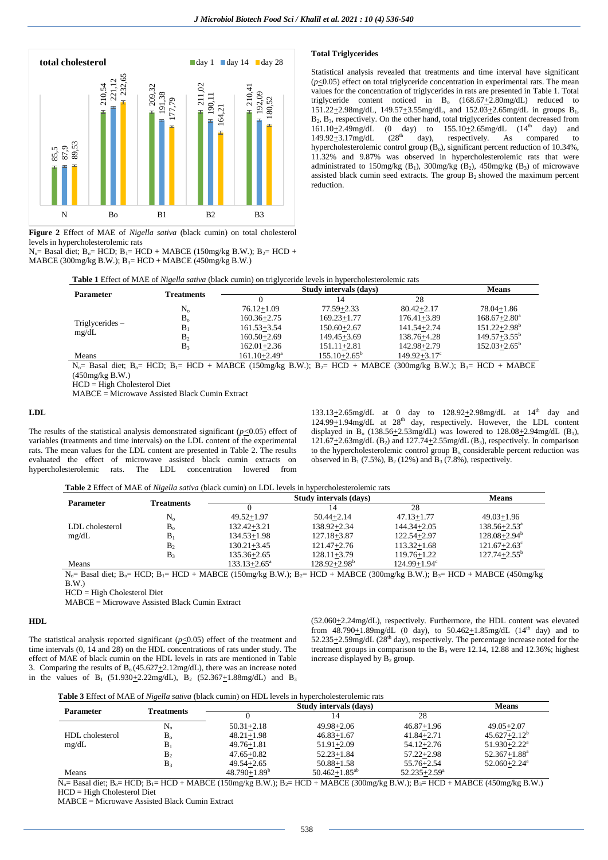

**Figure 2** Effect of MAE of *Nigella sativa* (black cumin) on total cholesterol levels in hypercholesterolemic rats

N<sub>o</sub>= Basal diet; B<sub>o</sub>= HCD; B<sub>1</sub>= HCD + MABCE (150mg/kg B.W.); B<sub>2</sub>= HCD + MABCE (300mg/kg B.W.);  $B_3$ = HCD + MABCE (450mg/kg B.W.)

## **Total Triglycerides**

Statistical analysis revealed that treatments and time interval have significant  $(p \le 0.05)$  effect on total triglyceride concentration in experimental rats. The mean values for the concentration of triglycerides in rats are presented in Table 1. Total triglyceride content noticed in  $B_0$  (168.67 $\pm$ 2.80mg/dL) reduced to  $151.22+2.98$ mg/dL,  $149.57+3.55$ mg/dL, and  $152.03+2.65$ mg/dL in groups B<sub>1</sub>, B2, B3, respectively. On the other hand, total triglycerides content decreased from  $161.10\pm2.49$ mg/dL (0 day) to  $155.10\pm2.65$ mg/dL  $(14^{\text{th}}$  day) and  $149.92+3.17$ mg/dL  $(28^{\text{th}}$  day), respectively. As compared to  $149.92 \pm 3.17$ mg/dL  $(28<sup>th</sup>$  day), respectively. As compared to hypercholesterolemic control group (B<sub>o</sub>), significant percent reduction of 10.34%, 11.32% and 9.87% was observed in hypercholesterolemic rats that were administrated to 150mg/kg (B<sub>1</sub>), 300mg/kg (B<sub>2</sub>), 450mg/kg (B<sub>3</sub>) of microwave assisted black cumin seed extracts. The group B2 showed the maximum percent reduction.

|                   | <b>Table 1</b> Effect of MAE of <i>Nigella sativa</i> (black cumin) on triglyceride levels in hypercholesterolemic rats<br>Study intervals (days)<br><b>Means</b> |                   |                         |                         |                         |  |
|-------------------|-------------------------------------------------------------------------------------------------------------------------------------------------------------------|-------------------|-------------------------|-------------------------|-------------------------|--|
|                   |                                                                                                                                                                   |                   |                         |                         |                         |  |
| <b>Parameter</b>  | <b>Treatments</b>                                                                                                                                                 |                   |                         | 28                      |                         |  |
|                   | $N_{\alpha}$                                                                                                                                                      | $76.12 + 1.09$    | $77.59 + 2.33$          | $80.42 + 2.17$          | 78.04+1.86              |  |
|                   | $B_{\alpha}$                                                                                                                                                      | $160.36 + 2.75$   | $169.23 + 1.77$         | $176.41 + 3.89$         | $168.67 + 2.80^a$       |  |
| Triglycerides $-$ | B <sub>1</sub>                                                                                                                                                    | $161.53 + 3.54$   | $150.60 + 2.67$         | $141.54 + 2.74$         | $151.22 + 2.98^b$       |  |
| mg/dL             | B <sub>2</sub>                                                                                                                                                    | $160.50 + 2.69$   | $149.45 + 3.69$         | 138.76+4.28             | $149.57 + 3.55^{\circ}$ |  |
|                   | B <sub>3</sub>                                                                                                                                                    | $162.01 + 2.36$   | $151.11 + 2.81$         | 142.98+2.79             | $152.03 + 2.65^{\circ}$ |  |
| Means             |                                                                                                                                                                   | $161.10 + 2.49^a$ | $155.10 + 2.65^{\circ}$ | $149.92 + 3.17^{\circ}$ |                         |  |

 $N_0$  Basal diet;  $B_0$  = HCD;  $B_1$  = HCD + MABCE (150mg/kg B.W.);  $B_2$  = HCD + MABCE (300mg/kg B.W.);  $B_3$  = HCD + MABCE (450mg/kg B.W.)

HCD = High Cholesterol Diet

MABCE = Microwave Assisted Black Cumin Extract

## **LDL**

The results of the statistical analysis demonstrated significant  $(p \le 0.05)$  effect of variables (treatments and time intervals) on the LDL content of the experimental rats. The mean values for the LDL content are presented in Table 2. The results evaluated the effect of microwave assisted black cumin extracts on hypercholesterolemic rats. The LDL concentration lowered from

 $133.13\pm 2.65$ mg/dL at 0 day to  $128.92\pm 2.98$ mg/dL at  $14<sup>th</sup>$  day and  $124.99 \pm 1.94$ mg/dL at  $28<sup>th</sup>$  day, respectively. However, the LDL content displayed in B<sub>o</sub> (138.56 $\pm$ 2.53mg/dL) was lowered to 128.08 $\pm$ 2.94mg/dL (B<sub>1</sub>),  $121.67 \pm 2.63$ mg/dL (B<sub>2</sub>) and  $127.74 \pm 2.55$ mg/dL (B<sub>3</sub>), respectively. In comparison to the hypercholesterolemic control group  $\overline{B}_0$  considerable percent reduction was observed in  $B_1$  (7.5%),  $B_2$  (12%) and  $B_3$  (7.8%), respectively.

**Table 2** Effect of MAE of *Nigella sativa* (black cumin) on LDL levels in hypercholesterolemic rats

|                  | <b>Treatments</b> | Study intervals (days)  |                         |                              | <b>Means</b>                 |  |
|------------------|-------------------|-------------------------|-------------------------|------------------------------|------------------------------|--|
| <b>Parameter</b> |                   |                         | 14                      | 28                           |                              |  |
|                  | $N_{o}$           | $49.52 + 1.97$          | $50.44 + 2.14$          | $47.13 + 1.77$               | $49.03 + 1.96$               |  |
| LDL cholesterol  | $B_{\alpha}$      | $132.42 + 3.21$         | $138.92 + 2.34$         | $144.34 + 2.05$              | $138.56 + 2.53^{\circ}$      |  |
| mg/dL            | В                 | $134.53 + 1.98$         | 127.18+3.87             | 122.54+2.97                  | $128.08 + 2.94^b$            |  |
|                  | B <sub>2</sub>    | $130.21 + 3.45$         | $121.47 + 2.76$         | $113.32 + 1.68$              | $121.67 + 2.63^{\circ}$      |  |
|                  | B <sub>3</sub>    | $135.36 + 2.65$         | $128.11 + 3.79$         | $119.76 + 1.22$              | $127.74 + 2.55^{\mathrm{b}}$ |  |
| Means            |                   | $133.13 + 2.65^{\circ}$ | $128.92 + 2.98^{\circ}$ | $124.99 + 1.94$ <sup>c</sup> |                              |  |

 $N_0$ = Basal diet; B<sub>0</sub>= HCD; B<sub>1</sub>= HCD + MABCE (150mg/kg B.W.); B<sub>2</sub>= HCD + MABCE (300mg/kg B.W.); B<sub>3</sub>= HCD + MABCE (450mg/kg  $B.W.$ )

HCD = High Cholesterol Diet

MABCE = Microwave Assisted Black Cumin Extract

## **HDL**

The statistical analysis reported significant  $(p \le 0.05)$  effect of the treatment and time intervals (0, 14 and 28) on the HDL concentrations of rats under study. The effect of MAE of black cumin on the HDL levels in rats are mentioned in Table 3. Comparing the results of  $B_0(45.627+2.12mg/dL)$ , there was an increase noted in the values of B<sub>1</sub> (51.930+2.22mg/dL), B<sub>2</sub> (52.367+1.88mg/dL) and B<sub>3</sub>

(52.060+2.24mg/dL), respectively. Furthermore, the HDL content was elevated from  $48.790 + 1.89$  mg/dL (0 day), to  $50.462 + 1.85$  mg/dL (14<sup>th</sup> day) and to 52.235 $\pm$ 2.59mg/dL (28<sup>th</sup> day), respectively. The percentage increase noted for the treatment groups in comparison to the  $B_0$  were 12.14, 12.88 and 12.36%; highest increase displayed by  $B_2$  group.

| Table 3 Effect of MAE of Nigella sativa (black cumin) on HDL levels in hypercholesterolemic rats |  |  |  |  |  |
|--------------------------------------------------------------------------------------------------|--|--|--|--|--|
|--------------------------------------------------------------------------------------------------|--|--|--|--|--|

|                  |                |                   | Study intervals (days) |                              | <b>Means</b>                 |
|------------------|----------------|-------------------|------------------------|------------------------------|------------------------------|
| <b>Parameter</b> | Treatments     |                   |                        | 28                           |                              |
|                  | $\rm N_{o}$    | $50.31 + 2.18$    | $49.98 + 2.06$         | $46.87 + 1.96$               | $49.05 + 2.07$               |
| HDL cholesterol  | B <sub>o</sub> | $48.21 + 1.98$    | $46.83 + 1.67$         | $41.84 + 2.71$               | $45.627 + 2.12^b$            |
| mg/dL            | $B_1$          | $49.76 + 1.81$    | $51.91 + 2.09$         | $54.12 + 2.76$               | $51.930 + 2.22$ <sup>a</sup> |
|                  | B <sub>2</sub> | $47.65 + 0.82$    | $52.23 + 1.84$         | $57.22 + 2.98$               | $52.367 + 1.88^a$            |
|                  | B <sub>3</sub> | $49.54 + 2.65$    | $50.88 + 1.58$         | $55.76 + 2.54$               | $52.060 + 2.24$ <sup>a</sup> |
| Means            |                | $48.790 + 1.89^b$ | $50.462 + 1.85^{ab}$   | $52.235 + 2.59^{\mathrm{a}}$ |                              |

 $N_{o}=$  Basal diet;  $B_{o}=$  HCD;  $B_{1}=$  HCD + MABCE (150mg/kg B.W.);  $B_{2}=$  HCD + MABCE (300mg/kg B.W.);  $B_{3}=$  HCD + MABCE (450mg/kg B.W.) HCD = High Cholesterol Diet<br>MABCE = Microwave Assisted Black Cumin Extract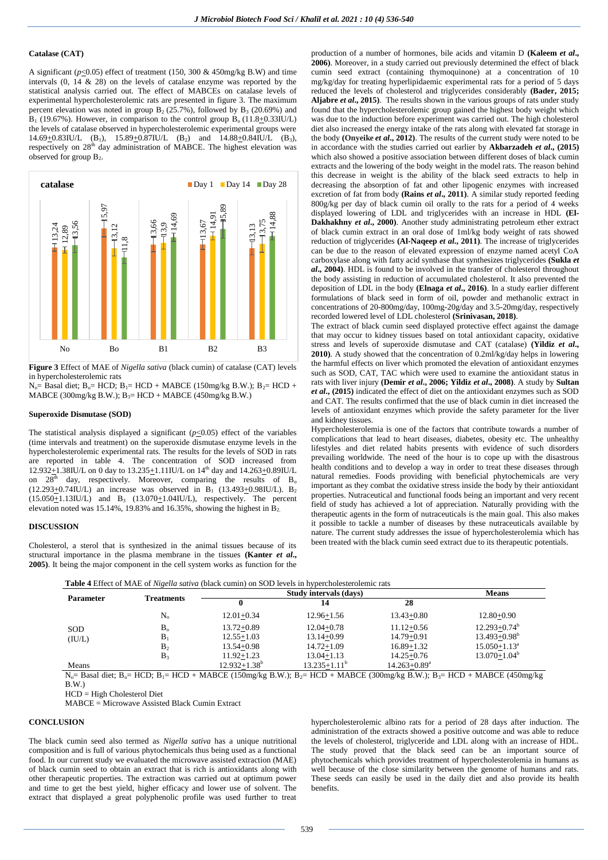# **Catalase (CAT)**

A significant ( $p<0.05$ ) effect of treatment (150, 300 & 450mg/kg B.W) and time intervals (0, 14 & 28) on the levels of catalase enzyme was reported by the statistical analysis carried out. The effect of MABCEs on catalase levels of experimental hypercholesterolemic rats are presented in figure 3. The maximum percent elevation was noted in group  $B_2$  (25.7%), followed by  $B_3$  (20.69%) and  $B_1$  (19.67%). However, in comparison to the control group  $B_0$  (11.8+0.33IU/L) the levels of catalase observed in hypercholesterolemic experimental groups were 14.69 $\pm$ 0.83IU/L (B<sub>1</sub>), 15.89 $\pm$ 0.87IU/L (B<sub>2</sub>) and 14.88 $\pm$ 0.84IU/L (B<sub>3</sub>), respectively on  $28<sup>th</sup>$  day administration of MABCE. The highest elevation was observed for group B2.



**Figure 3** Effect of MAE of *Nigella sativa* (black cumin) of catalase (CAT) levels in hypercholesterolemic rats

 $N_0$ = Basal diet; B<sub>0</sub>= HCD; B<sub>1</sub>= HCD + MABCE (150mg/kg B.W.); B<sub>2</sub>= HCD + MABCE (300mg/kg B.W.);  $B_3$ = HCD + MABCE (450mg/kg B.W.)

#### **Superoxide Dismutase (SOD)**

The statistical analysis displayed a significant  $(p<0.05)$  effect of the variables (time intervals and treatment) on the superoxide dismutase enzyme levels in the hypercholesterolemic experimental rats. The results for the levels of SOD in rats are reported in table 4. The concentration of SOD increased from 12.932+1.38IU/L on 0 day to  $13.235 \pm 1.11$  IU/L on  $14<sup>th</sup>$  day and  $14.263 \pm 0.89$  IU/L on  $28<sup>th</sup>$  day, respectively. Moreover, comparing the results of B<sub>o</sub>  $(12.293+0.74$ IU/L) an increase was observed in B<sub>1</sub> (13.493 $+$ 0.98IU/L). B<sub>2</sub>  $(15.050+1.13$ IU/L) and B<sub>3</sub>  $(13.070+1.04$ IU/L), respectively. The percent elevation noted was 15.14%, 19.83% and 16.35%, showing the highest in  $\overline{B_2}$ .

### **DISCUSSION**

Cholesterol, a sterol that is synthesized in the animal tissues because of its structural importance in the plasma membrane in the tissues **(Kanter** *et al***., 2005)**. It being the major component in the cell system works as function for the

production of a number of hormones, bile acids and vitamin D **(Kaleem** *et al***., 2006)**. Moreover, in a study carried out previously determined the effect of black cumin seed extract (containing thymoquinone) at a concentration of 10 mg/kg/day for treating hyperlipidaemic experimental rats for a period of 5 days reduced the levels of cholesterol and triglycerides considerably **(Bader, 2015; Aljabre** *et al***., 2015)**. The results shown in the various groups of rats under study found that the hypercholesterolemic group gained the highest body weight which was due to the induction before experiment was carried out. The high cholesterol diet also increased the energy intake of the rats along with elevated fat storage in the body **(Onyeike** *et al***., 2012)**. The results of the current study were noted to be in accordance with the studies carried out earlier by **Akbarzadeh** *et al***., (2015)** which also showed a positive association between different doses of black cumin extracts and the lowering of the body weight in the model rats. The reason behind this decrease in weight is the ability of the black seed extracts to help in decreasing the absorption of fat and other lipogenic enzymes with increased excretion of fat from body **(Rains** *et al***., 2011)**. A similar study reported feeding 800g/kg per day of black cumin oil orally to the rats for a period of 4 weeks displayed lowering of LDL and triglycerides with an increase in HDL **(El-Dakhakhny** *et al***., 2000)**. Another study administrating petroleum ether extract of black cumin extract in an oral dose of 1ml/kg body weight of rats showed reduction of triglycerides **(Al-Naqeep** *et al***., 2011)**. The increase of triglycerides can be due to the reason of elevated expression of enzyme named acetyl CoA carboxylase along with fatty acid synthase that synthesizes triglycerides **(Sukla** *et al***., 2004)**. HDL is found to be involved in the transfer of cholesterol throughout the body assisting in reduction of accumulated cholesterol. It also prevented the deposition of LDL in the body **(Elnaga** *et al***., 2016)**. In a study earlier different formulations of black seed in form of oil, powder and methanolic extract in concentrations of 20-800mg/day, 100mg-20g/day and 3.5-20mg/day, respectively recorded lowered level of LDL cholesterol **(Srinivasan, 2018)**.

The extract of black cumin seed displayed protective effect against the damage that may occur to kidney tissues based on total antioxidant capacity, oxidative stress and levels of superoxide dismutase and CAT (catalase) **(Yildiz** *et al***., 2010)**. A study showed that the concentration of 0.2ml/kg/day helps in lowering the harmful effects on liver which promoted the elevation of antioxidant enzymes such as SOD, CAT, TAC which were used to examine the antioxidant status in rats with liver injury **(Demir** *et al***., 2006; Yildiz** *et al***., 2008)**. A study by **Sultan**  *et al***., (2015)** indicated the effect of diet on the antioxidant enzymes such as SOD and CAT. The results confirmed that the use of black cumin in diet increased the levels of antioxidant enzymes which provide the safety parameter for the liver and kidney tissues.

Hypercholesterolemia is one of the factors that contribute towards a number of complications that lead to heart diseases, diabetes, obesity etc. The unhealthy lifestyles and diet related habits presents with evidence of such disorders prevailing worldwide. The need of the hour is to cope up with the disastrous health conditions and to develop a way in order to treat these diseases through natural remedies. Foods providing with beneficial phytochemicals are very important as they combat the oxidative stress inside the body by their antioxidant properties. Nutraceutical and functional foods being an important and very recent field of study has achieved a lot of appreciation. Naturally providing with the therapeutic agents in the form of nutraceuticals is the main goal. This also makes it possible to tackle a number of diseases by these nutraceuticals available by nature. The current study addresses the issue of hypercholesterolemia which has been treated with the black cumin seed extract due to its therapeutic potentials.

| Table 4 Effect of MAE of <i>Nigella sativa</i> (black cumin) on SOD levels in hypercholesterolemic rats |  |  |  |  |
|---------------------------------------------------------------------------------------------------------|--|--|--|--|
|---------------------------------------------------------------------------------------------------------|--|--|--|--|

| <b>Parameter</b> |                   |                   | <b>Means</b>      |                   |                   |
|------------------|-------------------|-------------------|-------------------|-------------------|-------------------|
|                  | <b>Treatments</b> |                   | 14                | 28                |                   |
| <b>SOD</b>       | $\rm N_{o}$       | $12.01 + 0.34$    | $12.96 + 1.56$    | $13.43 + 0.80$    | $12.80 + 0.90$    |
|                  | B <sub>o</sub>    | $13.72 + 0.89$    | $12.04 + 0.78$    | $11.12 + 0.56$    | $12.293 + 0.74^b$ |
| (IU/L)           | $B_1$             | $12.55 + 1.03$    | $13.14 + 0.99$    | $14.79 + 0.91$    | $13.493 + 0.98^b$ |
|                  | B <sub>2</sub>    | $13.54 + 0.98$    | $14.72 + 1.09$    | $16.89 + 1.32$    | $15.050 + 1.13^a$ |
|                  | $B_3$             | $11.92 + 1.23$    | $13.04 + 1.13$    | $14.25 + 0.76$    | $13.070 + 1.04^b$ |
| Means            |                   | $12.932 + 1.38^b$ | $13.235 + 1.11^b$ | $14.263 + 0.89^a$ |                   |

 $N_0$  Basal diet;  $B_0$  = HCD;  $B_1$  = HCD + MABCE (150mg/kg B.W.);  $B_2$  = HCD + MABCE (300mg/kg B.W.);  $B_3$  = HCD + MABCE (450mg/kg B.W.)

HCD = High Cholesterol Diet

MABCE = Microwave Assisted Black Cumin Extract

# **CONCLUSION**

The black cumin seed also termed as *Nigella sativa* has a unique nutritional composition and is full of various phytochemicals thus being used as a functional food. In our current study we evaluated the microwave assisted extraction (MAE) of black cumin seed to obtain an extract that is rich is antioxidants along with other therapeutic properties. The extraction was carried out at optimum power and time to get the best yield, higher efficacy and lower use of solvent. The extract that displayed a great polyphenolic profile was used further to treat hypercholesterolemic albino rats for a period of 28 days after induction. The administration of the extracts showed a positive outcome and was able to reduce the levels of cholesterol, triglyceride and LDL along with an increase of HDL. The study proved that the black seed can be an important source of phytochemicals which provides treatment of hypercholesterolemia in humans as well because of the close similarity between the genome of humans and rats. These seeds can easily be used in the daily diet and also provide its health benefits.